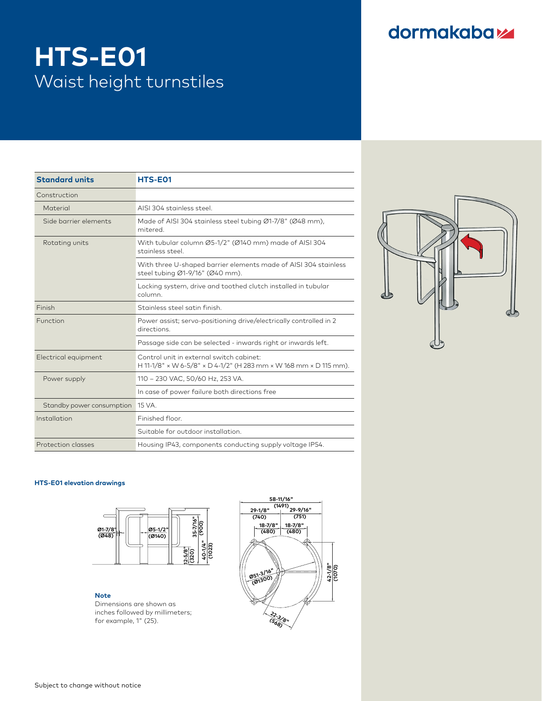## dormakabaz

# **HTS-E01** Waist height turnstiles

| <b>Standard units</b>                      | HTS-E01                                                                                                       |
|--------------------------------------------|---------------------------------------------------------------------------------------------------------------|
| Construction                               |                                                                                                               |
| Material                                   | AISI 304 stainless steel.                                                                                     |
| Side barrier elements                      | Made of AISI 304 stainless steel tubing Ø1-7/8" (Ø48 mm),<br>mitered.                                         |
| Rotating units<br>Power supply             | With tubular column Ø5-1/2" (Ø140 mm) made of AISI 304<br>stainless steel.                                    |
|                                            | With three U-shaped barrier elements made of AISI 304 stainless<br>steel tubing Ø1-9/16" (Ø40 mm).            |
|                                            | Locking system, drive and toothed clutch installed in tubular<br>column.                                      |
| Finish                                     | Stainless steel satin finish.                                                                                 |
| Function                                   | Power assist; servo-positioning drive/electrically controlled in 2<br>directions.                             |
|                                            | Passage side can be selected - inwards right or inwards left.                                                 |
|                                            | Control unit in external switch cabinet:<br>H 11-1/8" x W 6-5/8" x D 4-1/2" (H 283 mm x W 168 mm x D 115 mm). |
|                                            | 110 - 230 VAC, 50/60 Hz, 253 VA.                                                                              |
|                                            | In case of power failure both directions free                                                                 |
| Standby power consumption 15 VA.           |                                                                                                               |
| Installation                               | Finished floor.                                                                                               |
| Electrical equipment<br>Protection classes | Suitable for outdoor installation.                                                                            |
|                                            | Housing IP43, components conducting supply voltage IP54.                                                      |



#### **HTS-E01 elevation drawings**



#### **Note**

 $\blacksquare$ <br>Dimensions are shown as inches followed by millimeters; **(740) (751)** for example, 1" (25).